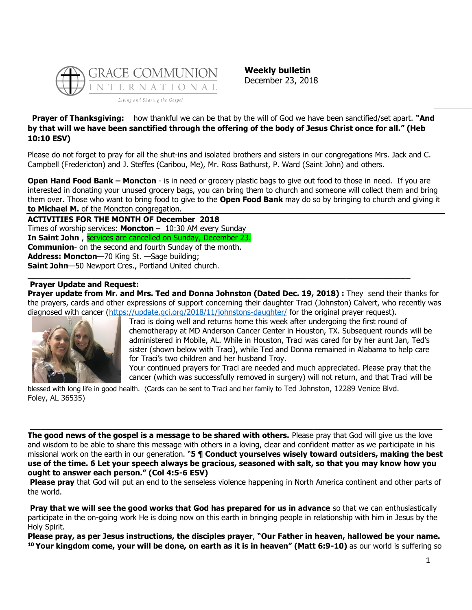

**Weekly bulletin** December 23, 2018

**Prayer of Thanksgiving:** how thankful we can be that by the will of God we have been sanctified/set apart. **"And by that will we have been sanctified through the offering of the body of Jesus Christ once for all." (Heb 10:10 ESV)**

Please do not forget to pray for all the shut-ins and isolated brothers and sisters in our congregations Mrs. Jack and C. Campbell (Fredericton) and J. Steffes (Caribou, Me), Mr. Ross Bathurst, P. Ward (Saint John) and others.

**Open Hand Food Bank – Moncton** - is in need or grocery plastic bags to give out food to those in need. If you are interested in donating your unused grocery bags, you can bring them to church and someone will collect them and bring them over. Those who want to bring food to give to the **Open Food Bank** may do so by bringing to church and giving it **to Michael M.** of the Moncton congregation.

**ACTIVITIES FOR THE MONTH OF December 2018** Times of worship services: **Moncton** – 10:30 AM every Sunday **In Saint John** , services are cancelled on Sunday, December 23. **Communion**- on the second and fourth Sunday of the month. **Address: Moncton**—70 King St. —Sage building; **Saint John**—50 Newport Cres., Portland United church.

## **Prayer Update and Request:**

**Prayer update from Mr. and Mrs. Ted and Donna Johnston (Dated Dec. 19, 2018) :** They send their thanks for the prayers, cards and other expressions of support concerning their daughter Traci (Johnston) Calvert, who recently was diagnosed with cancer [\(https://update.gci.org/2018/11/johnstons-daughter/](https://update.gci.org/2018/11/johnstons-daughter/) for the original prayer request).

**\_\_\_\_\_\_\_\_\_\_\_\_\_\_\_\_\_\_\_\_\_\_\_\_\_\_\_\_\_\_\_\_\_\_\_\_\_\_\_\_\_\_\_\_\_\_\_\_\_\_\_\_\_\_\_\_\_\_\_\_\_\_\_\_\_\_\_\_\_\_\_\_\_\_\_\_\_\_**



Traci is doing well and returns home this week after undergoing the first round of chemotherapy at MD Anderson Cancer Center in Houston, TX. Subsequent rounds will be administered in Mobile, AL. While in Houston, Traci was cared for by her aunt Jan, Ted's sister (shown below with Traci), while Ted and Donna remained in Alabama to help care for Traci's two children and her husband Troy.

Your continued prayers for Traci are needed and much appreciated. Please pray that the cancer (which was successfully removed in surgery) will not return, and that Traci will be

blessed with long life in good health. (Cards can be sent to Traci and her family to Ted Johnston, 12289 Venice Blvd. Foley, AL 36535)

**The good news of the gospel is a message to be shared with others.** Please pray that God will give us the love and wisdom to be able to share this message with others in a loving, clear and confident matter as we participate in his missional work on the earth in our generation. "**5 ¶ Conduct yourselves wisely toward outsiders, making the best use of the time. 6 Let your speech always be gracious, seasoned with salt, so that you may know how you ought to answer each person." (Col 4:5-6 ESV)**

**\_\_\_\_\_\_\_\_\_\_\_\_\_\_\_\_\_\_\_\_\_\_\_\_\_\_\_\_\_\_\_\_\_\_\_\_\_\_\_\_\_\_\_\_\_\_\_\_\_\_\_\_\_\_\_\_\_\_\_\_\_\_\_\_\_\_\_\_\_\_\_\_\_\_\_\_\_\_\_\_**

**Please pray** that God will put an end to the senseless violence happening in North America continent and other parts of the world.

**Pray that we will see the good works that God has prepared for us in advance** so that we can enthusiastically participate in the on-going work He is doing now on this earth in bringing people in relationship with him in Jesus by the Holy Spirit.

**Please pray, as per Jesus instructions, the disciples prayer**, **"Our Father in heaven, hallowed be your name. <sup>10</sup> Your kingdom come, your will be done, on earth as it is in heaven" (Matt 6:9-10)** as our world is suffering so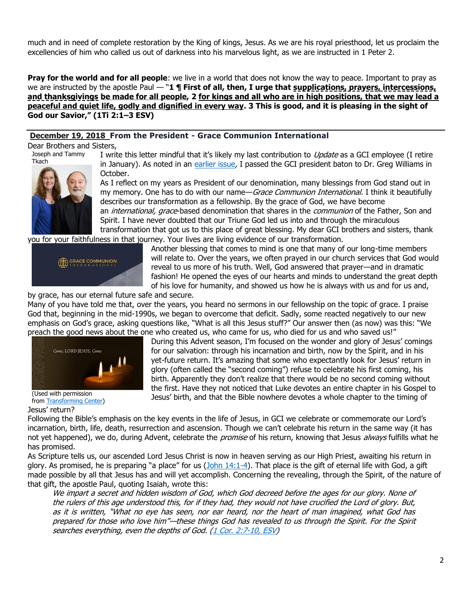much and in need of complete restoration by the King of kings, Jesus. As we are his royal priesthood, let us proclaim the excellencies of him who called us out of darkness into his marvelous light, as we are instructed in 1 Peter 2.

**Pray for the world and for all people**: we live in a world that does not know the way to peace. Important to pray as we are instructed by the apostle Paul — "**1 ¶ First of all, then, I urge that supplications, prayers, intercessions, and thanksgivings be made for all people, 2 for kings and all who are in high positions, that we may lead a peaceful and quiet life, godly and dignified in every way. 3 This is good, and it is pleasing in the sight of God our Savior," (1Ti 2:1–3 ESV)**

## **December 19, 2018 From the President - Grace Communion International**

Dear Brothers and Sisters,

Joseph and Tammy Tkach



I write this letter mindful that it's likely my last contribution to *Update* as a GCI employee (I retire in January). As noted in an [earlier issue](https://update.gci.org/2018/10/passing-of-the-baton-report/), I passed the GCI president baton to Dr. Greg Williams in October.

As I reflect on my years as President of our denomination, many blessings from God stand out in my memory. One has to do with our name—Grace Communion International. I think it beautifully describes our transformation as a fellowship. By the grace of God, we have become an *international, grace*-based denomination that shares in the *communion* of the Father, Son and Spirit. I have never doubted that our Triune God led us into and through the miraculous transformation that got us to this place of great blessing. My dear GCI brothers and sisters, thank

you for your faithfulness in that journey. Your lives are living evidence of our transformation.



Another blessing that comes to mind is one that many of our long-time members will relate to. Over the years, we often prayed in our church services that God would reveal to us more of his truth. Well, God answered that prayer—and in dramatic fashion! He opened the eyes of our hearts and minds to understand the great depth of his love for humanity, and showed us how he is always with us and for us and,

by grace, has our eternal future safe and secure.

Many of you have told me that, over the years, you heard no sermons in our fellowship on the topic of grace. I praise God that, beginning in the mid-1990s, we began to overcome that deficit. Sadly, some reacted negatively to our new emphasis on God's grace, asking questions like, "What is all this Jesus stuff?" Our answer then (as now) was this: "We preach the good news about the one who created us, who came for us, who died for us and who saved us!"



(Used with permission from [Transforming Center\)](https://transformingcenter.org/2015/11/entering-advent-hurry-wait/) Jesus' return?

During this Advent season, I'm focused on the wonder and glory of Jesus' comings for our salvation: through his incarnation and birth, now by the Spirit, and in his yet-future return. It's amazing that some who expectantly look for Jesus' return in glory (often called the "second coming") refuse to celebrate his first coming, his birth. Apparently they don't realize that there would be no second coming without the first. Have they not noticed that Luke devotes an entire chapter in his Gospel to Jesus' birth, and that the Bible nowhere devotes a whole chapter to the timing of

Following the Bible's emphasis on the key events in the life of Jesus, in GCI we celebrate or commemorate our Lord's incarnation, birth, life, death, resurrection and ascension. Though we can't celebrate his return in the same way (it has not yet happened), we do, during Advent, celebrate the *promise* of his return, knowing that Jesus *always* fulfills what he has promised.

As Scripture tells us, our ascended Lord Jesus Christ is now in heaven serving as our High Priest, awaiting his return in glory. As promised, he is preparing "a place" for us ([John 14:1-4\)](https://biblia.com/bible/niv/John%2014.1-4). That place is the gift of eternal life with God, a gift made possible by all that Jesus has and will yet accomplish. Concerning the revealing, through the Spirit, of the nature of that gift, the apostle Paul, quoting Isaiah, wrote this:

We impart a secret and hidden wisdom of God, which God decreed before the ages for our glory. None of the rulers of this age understood this, for if they had, they would not have crucified the Lord of glory. But, as it is written, "What no eye has seen, nor ear heard, nor the heart of man imagined, what God has prepared for those who love him"—these things God has revealed to us through the Spirit. For the Spirit searches everything, even the depths of God. [\(1 Cor. 2:7-10, ESV\)](https://biblia.com/bible/esv/1%20Cor.%202.7-10)